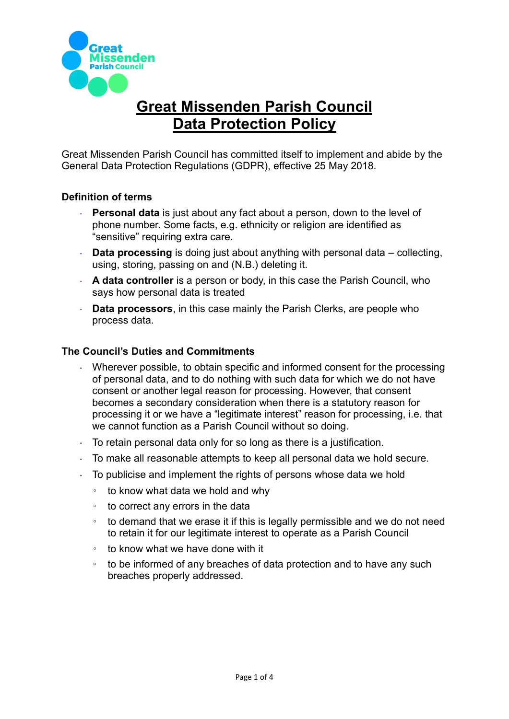

# **Great Missenden Parish Council Data Protection Policy**

Great Missenden Parish Council has committed itself to implement and abide by the General Data Protection Regulations (GDPR), effective 25 May 2018.

## **Definition of terms**

- **Personal data** is just about any fact about a person, down to the level of phone number. Some facts, e.g. ethnicity or religion are identified as "sensitive" requiring extra care.
- **Data processing** is doing just about anything with personal data collecting,  $\mathbf{L}^{(1)}$ using, storing, passing on and (N.B.) deleting it.
- **A data controller** is a person or body, in this case the Parish Council, who says how personal data is treated
- **Data processors**, in this case mainly the Parish Clerks, are people who  $\mathcal{L}^{\mathcal{L}}$ process data.

### **The Council's Duties and Commitments**

- Wherever possible, to obtain specific and informed consent for the processing of personal data, and to do nothing with such data for which we do not have consent or another legal reason for processing. However, that consent becomes a secondary consideration when there is a statutory reason for processing it or we have a "legitimate interest" reason for processing, i.e. that we cannot function as a Parish Council without so doing.
- To retain personal data only for so long as there is a justification.
- To make all reasonable attempts to keep all personal data we hold secure.
- To publicise and implement the rights of persons whose data we hold  $\mathcal{L}^{\text{max}}$ 
	- to know what data we hold and why
	- to correct any errors in the data
	- to demand that we erase it if this is legally permissible and we do not need to retain it for our legitimate interest to operate as a Parish Council
	- to know what we have done with it
	- to be informed of any breaches of data protection and to have any such breaches properly addressed.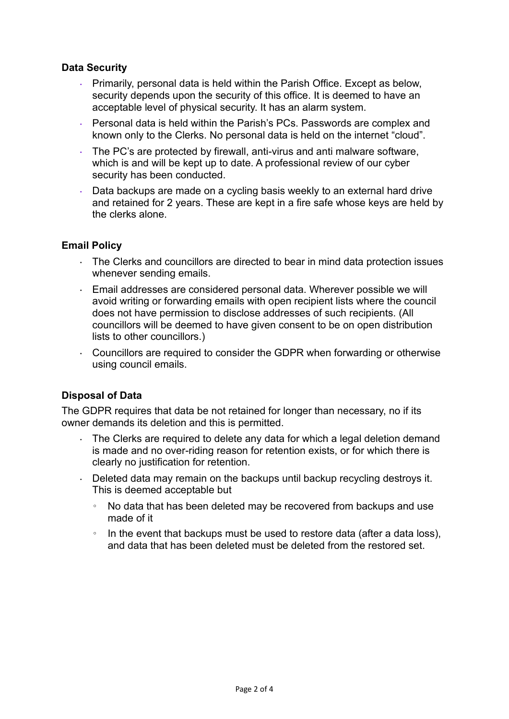## **Data Security**

- $\mathcal{L}^{(1)}$ Primarily, personal data is held within the Parish Office. Except as below, security depends upon the security of this office. It is deemed to have an acceptable level of physical security. It has an alarm system.
- Personal data is held within the Parish's PCs. Passwords are complex and known only to the Clerks. No personal data is held on the internet "cloud".
- The PC's are protected by firewall, anti-virus and anti malware software, which is and will be kept up to date. A professional review of our cyber security has been conducted.
- Data backups are made on a cycling basis weekly to an external hard drive and retained for 2 years. These are kept in a fire safe whose keys are held by the clerks alone.

### **Email Policy**

- $\cdot$  The Clerks and councillors are directed to bear in mind data protection issues whenever sending emails.
- Email addresses are considered personal data. Wherever possible we will  $\ddot{\phantom{0}}$ avoid writing or forwarding emails with open recipient lists where the council does not have permission to disclose addresses of such recipients. (All councillors will be deemed to have given consent to be on open distribution lists to other councillors.)
- Councillors are required to consider the GDPR when forwarding or otherwise using council emails.

# **Disposal of Data**

The GDPR requires that data be not retained for longer than necessary, no if its owner demands its deletion and this is permitted.

- The Clerks are required to delete any data for which a legal deletion demand is made and no over-riding reason for retention exists, or for which there is clearly no justification for retention.
- Deleted data may remain on the backups until backup recycling destroys it. This is deemed acceptable but
	- No data that has been deleted may be recovered from backups and use made of it
	- In the event that backups must be used to restore data (after a data loss), and data that has been deleted must be deleted from the restored set.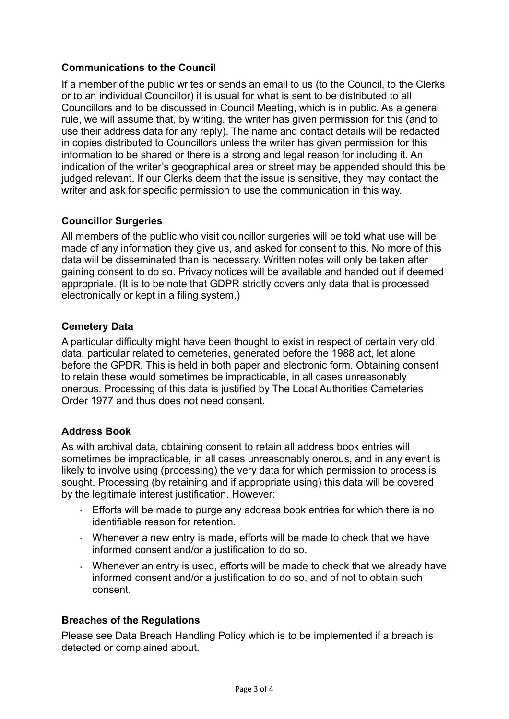# **Communications to the Council**

If a member of the public writes or sends an email to us (to the Council, to the Clerks or to an individual Councillor) it is usual for what is sent to be distributed to all Councillors and to be discussed in Council Meeting, which is in public. As a general rule, we will assume that, by writing, the writer has given permission for this (and to use their address data for any reply). The name and contact details will be redacted in copies distributed to Councillors unless the writer has given permission for this information to be shared or there is a strong and legal reason for including it. An indication of the writer's geographical area or street may be appended should this be judged relevant. If our Clerks deem that the issue is sensitive, they may contact the writer and ask for specific permission to use the communication in this way.

## **Councillor Surgeries**

All members of the public who visit councillor surgeries will be told what use will be made of any information they give us, and asked for consent to this. No more of this data will be disseminated than is necessary. Written notes will only be taken after gaining consent to do so. Privacy notices will be available and handed out if deemed appropriate. (It is to be note that GDPR strictly covers only data that is processed electronically or kept in a filing system.)

## **Cemetery Data**

A particular difficulty might have been thought to exist in respect of certain very old data, particular related to cemeteries, generated before the 1988 act, let alone before the GPDR. This is held in both paper and electronic form. Obtaining consent to retain these would sometimes be impracticable, in all cases unreasonably onerous. Processing of this data is justified by The Local Authorities Cemeteries Order 1977 and thus does not need consent.

# **Address Book**

As with archival data, obtaining consent to retain all address book entries will sometimes be impracticable, in all cases unreasonably onerous, and in any event is likely to involve using (processing) the very data for which permission to process is sought. Processing (by retaining and if appropriate using) this data will be covered by the legitimate interest justification. However:

- Efforts will be made to purge any address book entries for which there is no identifiable reason for retention.
- Whenever a new entry is made, efforts will be made to check that we have informed consent and/or a justification to do so.
- Whenever an entry is used, efforts will be made to check that we already have informed consent and/or a justification to do so, and of not to obtain such consent.

### **Breaches of the Regulations**

Please see Data Breach Handling Policy which is to be implemented if a breach is detected or complained about.